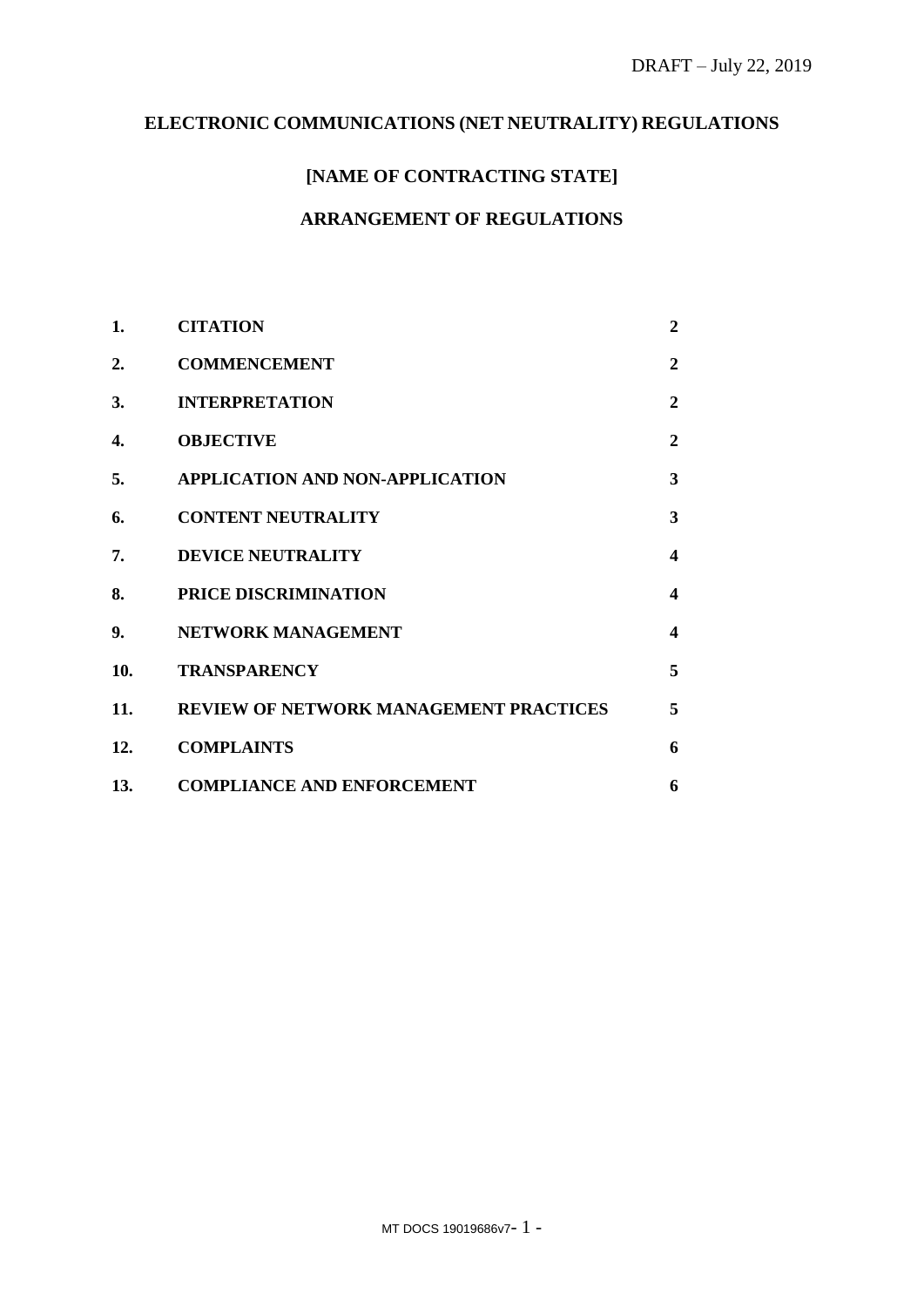# **ELECTRONIC COMMUNICATIONS (NET NEUTRALITY) REGULATIONS**

# **[NAME OF CONTRACTING STATE]**

### **ARRANGEMENT OF REGULATIONS**

| 1.  | <b>CITATION</b>                               | $\overline{2}$ |
|-----|-----------------------------------------------|----------------|
| 2.  | <b>COMMENCEMENT</b>                           | $\overline{2}$ |
| 3.  | <b>INTERPRETATION</b>                         | $\mathbf{2}$   |
| 4.  | <b>OBJECTIVE</b>                              | $\mathbf{2}$   |
| 5.  | APPLICATION AND NON-APPLICATION               | 3              |
| 6.  | <b>CONTENT NEUTRALITY</b>                     | 3              |
| 7.  | <b>DEVICE NEUTRALITY</b>                      | 4              |
| 8.  | PRICE DISCRIMINATION                          | 4              |
| 9.  | NETWORK MANAGEMENT                            | 4              |
| 10. | <b>TRANSPARENCY</b>                           | 5              |
| 11. | <b>REVIEW OF NETWORK MANAGEMENT PRACTICES</b> | 5              |
| 12. | <b>COMPLAINTS</b>                             | 6              |
| 13. | <b>COMPLIANCE AND ENFORCEMENT</b>             | 6              |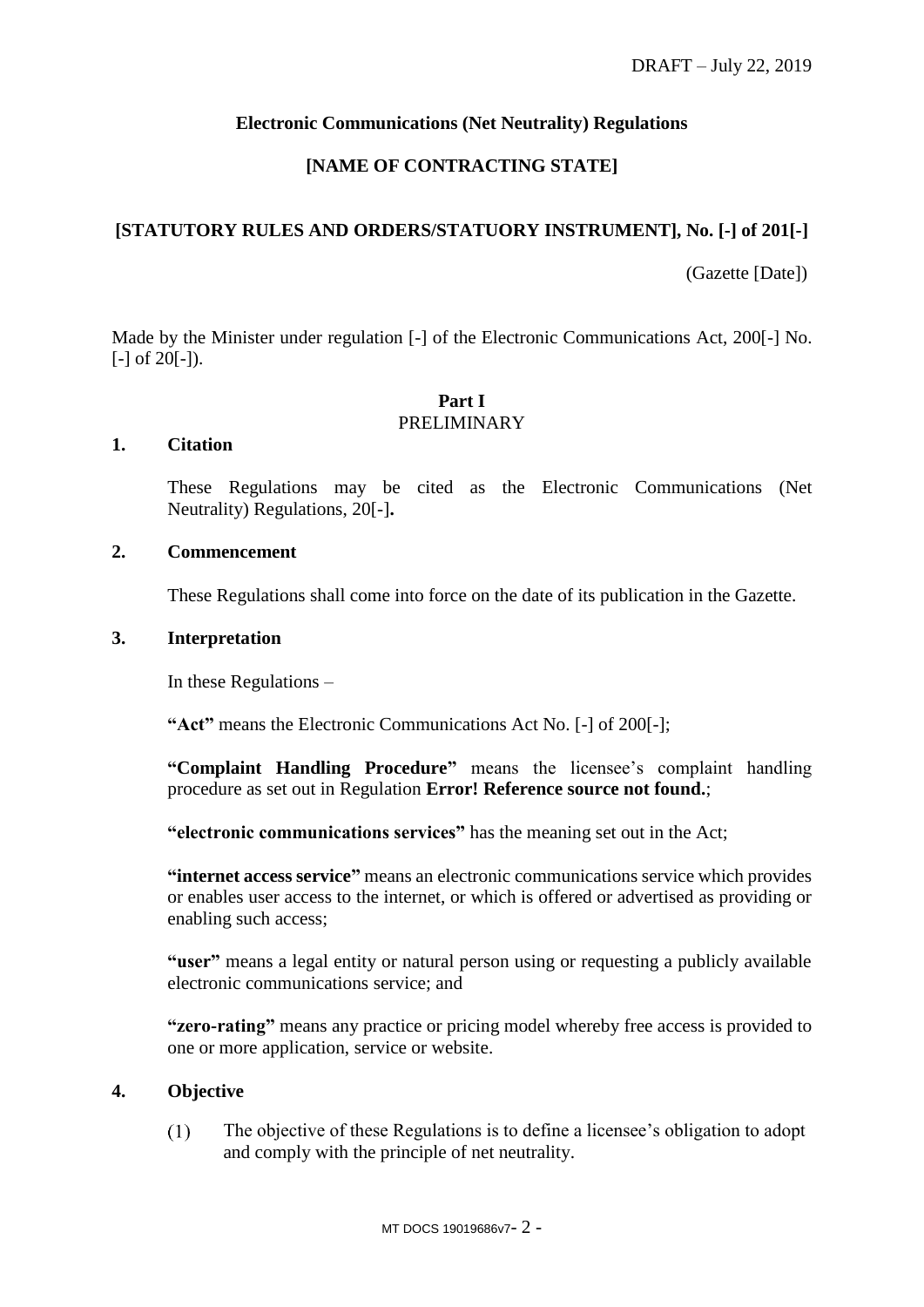### **Electronic Communications (Net Neutrality) Regulations**

### **[NAME OF CONTRACTING STATE]**

### **[STATUTORY RULES AND ORDERS/STATUORY INSTRUMENT], No. [-] of 201[-]**

(Gazette [Date])

Made by the Minister under regulation [-] of the Electronic Communications Act, 200[-] No.  $[-]$  of 20 $[-]$ ).

#### **Part I** PRELIMINARY

### <span id="page-1-0"></span>**1. Citation**

These Regulations may be cited as the Electronic Communications (Net Neutrality) Regulations, 20[-]**.**

## <span id="page-1-1"></span>**2. Commencement**

These Regulations shall come into force on the date of its publication in the Gazette.

### <span id="page-1-2"></span>**3. Interpretation**

In these Regulations –

**"Act"** means the Electronic Communications Act No. [-] of 200[-];

**"Complaint Handling Procedure"** means the licensee's complaint handling procedure as set out in Regulation **Error! Reference source not found.**;

**"electronic communications services"** has the meaning set out in the Act;

**"internet access service"** means an electronic communications service which provides or enables user access to the internet, or which is offered or advertised as providing or enabling such access;

**"user"** means a legal entity or natural person using or requesting a publicly available electronic communications service; and

**"zero-rating"** means any practice or pricing model whereby free access is provided to one or more application, service or website.

### <span id="page-1-3"></span>**4. Objective**

 $(1)$ The objective of these Regulations is to define a licensee's obligation to adopt and comply with the principle of net neutrality.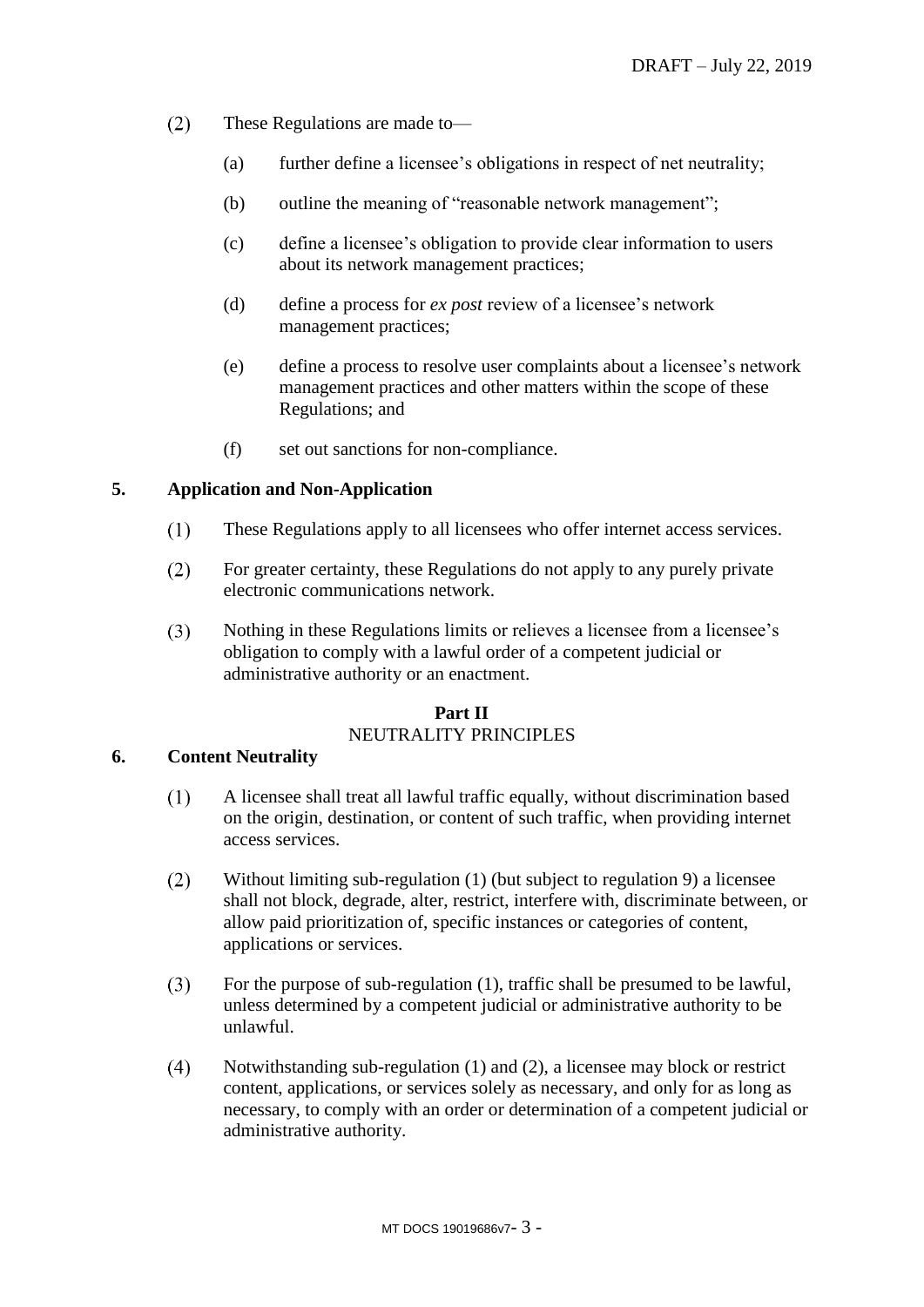- $(2)$ These Regulations are made to—
	- (a) further define a licensee's obligations in respect of net neutrality;
	- (b) outline the meaning of "reasonable network management";
	- (c) define a licensee's obligation to provide clear information to users about its network management practices;
	- (d) define a process for *ex post* review of a licensee's network management practices;
	- (e) define a process to resolve user complaints about a licensee's network management practices and other matters within the scope of these Regulations; and
	- (f) set out sanctions for non-compliance.

### <span id="page-2-0"></span>**5. Application and Non-Application**

- $(1)$ These Regulations apply to all licensees who offer internet access services.
- For greater certainty, these Regulations do not apply to any purely private  $(2)$ electronic communications network.
- $(3)$ Nothing in these Regulations limits or relieves a licensee from a licensee's obligation to comply with a lawful order of a competent judicial or administrative authority or an enactment.

## **Part II** NEUTRALITY PRINCIPLES

### <span id="page-2-2"></span><span id="page-2-1"></span>**6. Content Neutrality**

- $(1)$ A licensee shall treat all lawful traffic equally, without discrimination based on the origin, destination, or content of such traffic, when providing internet access services.
- <span id="page-2-3"></span> $(2)$ Without limiting sub-regulation [\(1\)](#page-2-2) (but subject to regulation [9\)](#page-3-2) a licensee shall not block, degrade, alter, restrict, interfere with, discriminate between, or allow paid prioritization of, specific instances or categories of content, applications or services.
- $(3)$ For the purpose of sub-regulation [\(1\),](#page-2-2) traffic shall be presumed to be lawful, unless determined by a competent judicial or administrative authority to be unlawful.
- $(4)$ Notwithstanding sub-regulation [\(1\)](#page-2-2) and [\(2\),](#page-2-3) a licensee may block or restrict content, applications, or services solely as necessary, and only for as long as necessary, to comply with an order or determination of a competent judicial or administrative authority.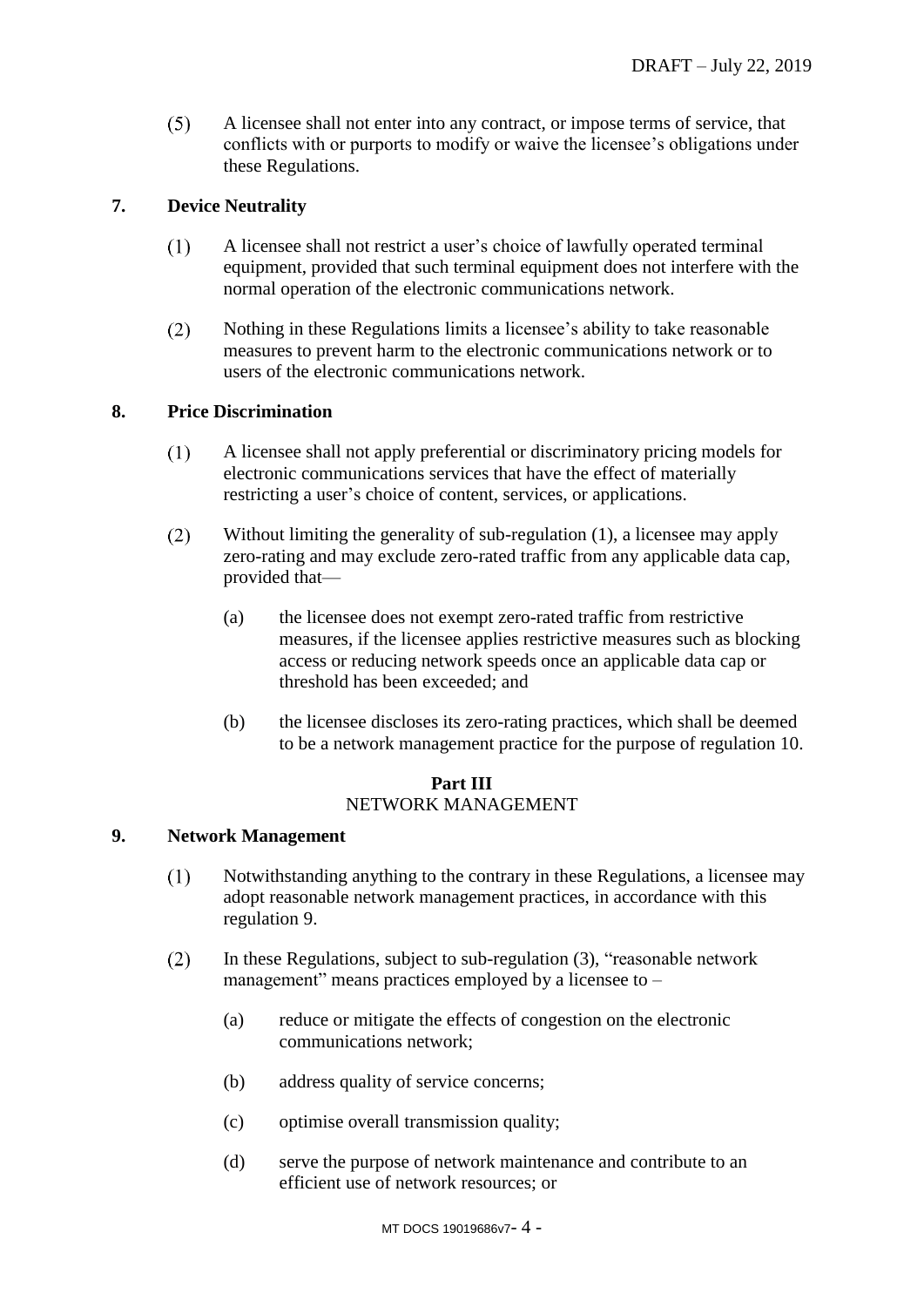$(5)$ A licensee shall not enter into any contract, or impose terms of service, that conflicts with or purports to modify or waive the licensee's obligations under these Regulations.

### <span id="page-3-0"></span>**7. Device Neutrality**

- $(1)$ A licensee shall not restrict a user's choice of lawfully operated terminal equipment, provided that such terminal equipment does not interfere with the normal operation of the electronic communications network.
- $(2)$ Nothing in these Regulations limits a licensee's ability to take reasonable measures to prevent harm to the electronic communications network or to users of the electronic communications network.

### <span id="page-3-3"></span><span id="page-3-1"></span>**8. Price Discrimination**

- $(1)$ A licensee shall not apply preferential or discriminatory pricing models for electronic communications services that have the effect of materially restricting a user's choice of content, services, or applications.
- $(2)$ Without limiting the generality of sub-regulation [\(1\),](#page-3-3) a licensee may apply zero-rating and may exclude zero-rated traffic from any applicable data cap, provided that—
	- (a) the licensee does not exempt zero-rated traffic from restrictive measures, if the licensee applies restrictive measures such as blocking access or reducing network speeds once an applicable data cap or threshold has been exceeded; and
	- (b) the licensee discloses its zero-rating practices, which shall be deemed to be a network management practice for the purpose of regulation [10.](#page-4-0)

## **Part III**

### NETWORK MANAGEMENT

### <span id="page-3-2"></span>**9. Network Management**

- Notwithstanding anything to the contrary in these Regulations, a licensee may  $(1)$ adopt reasonable network management practices, in accordance with this regulation [9.](#page-3-2)
- <span id="page-3-4"></span> $(2)$ In these Regulations, subject to sub-regulation [\(3\),](#page-4-2) "reasonable network management" means practices employed by a licensee to –
	- (a) reduce or mitigate the effects of congestion on the electronic communications network;
	- (b) address quality of service concerns;
	- (c) optimise overall transmission quality;
	- (d) serve the purpose of network maintenance and contribute to an efficient use of network resources; or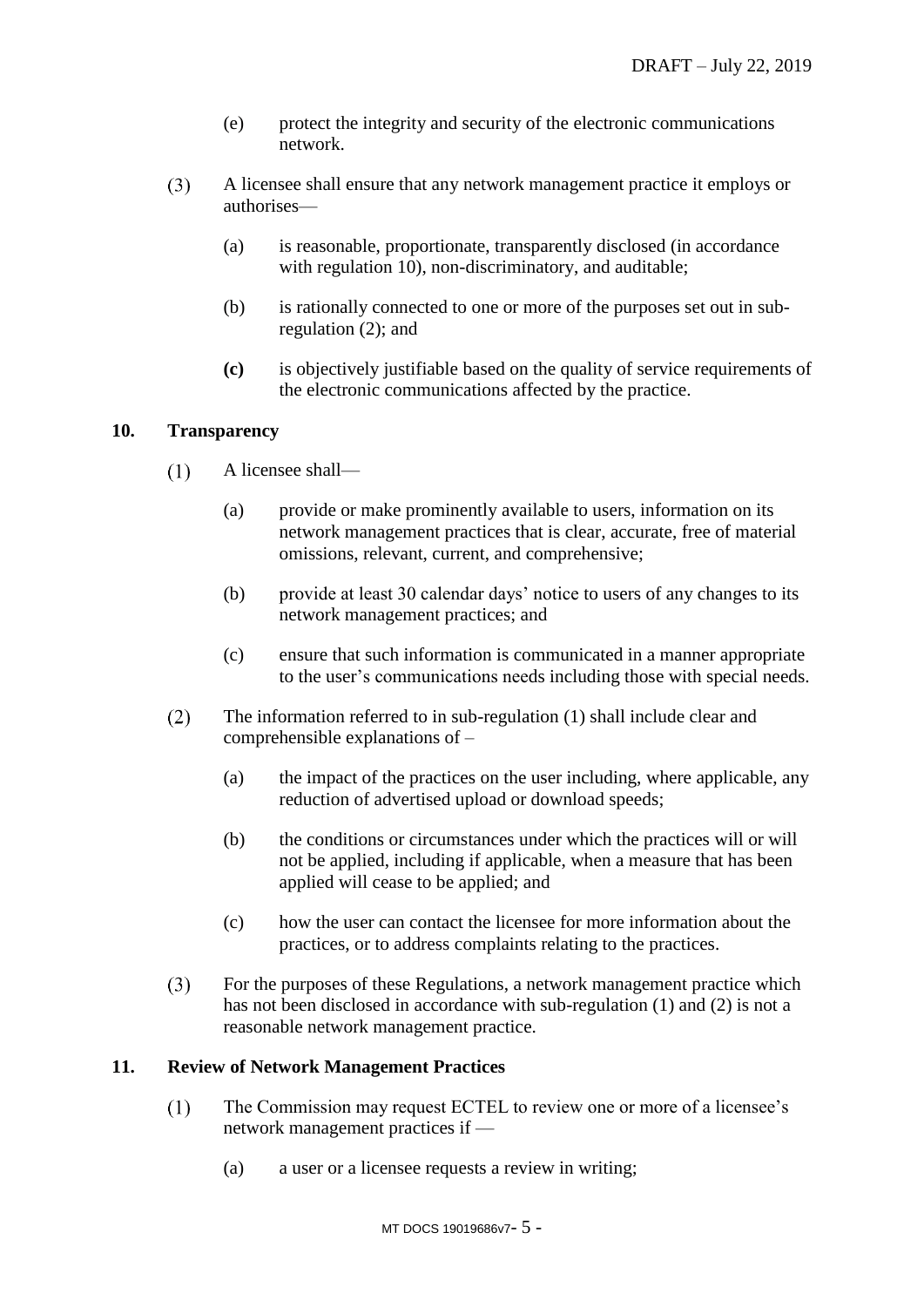- (e) protect the integrity and security of the electronic communications network.
- <span id="page-4-2"></span> $(3)$ A licensee shall ensure that any network management practice it employs or authorises—
	- (a) is reasonable, proportionate, transparently disclosed (in accordance with regulation [10\)](#page-4-0), non-discriminatory, and auditable;
	- (b) is rationally connected to one or more of the purposes set out in subregulation [\(2\);](#page-3-4) and
	- **(c)** is objectively justifiable based on the quality of service requirements of the electronic communications affected by the practice.

### <span id="page-4-3"></span><span id="page-4-0"></span>**10. Transparency**

- $(1)$ A licensee shall—
	- (a) provide or make prominently available to users, information on its network management practices that is clear, accurate, free of material omissions, relevant, current, and comprehensive;
	- (b) provide at least 30 calendar days' notice to users of any changes to its network management practices; and
	- (c) ensure that such information is communicated in a manner appropriate to the user's communications needs including those with special needs.
- <span id="page-4-4"></span> $(2)$ The information referred to in sub-regulation [\(1\)](#page-4-3) shall include clear and comprehensible explanations of –
	- (a) the impact of the practices on the user including, where applicable, any reduction of advertised upload or download speeds;
	- (b) the conditions or circumstances under which the practices will or will not be applied, including if applicable, when a measure that has been applied will cease to be applied; and
	- (c) how the user can contact the licensee for more information about the practices, or to address complaints relating to the practices.
- $(3)$ For the purposes of these Regulations, a network management practice which has not been disclosed in accordance with sub-regulation [\(1\)](#page-4-3) and [\(2\)](#page-4-4) is not a reasonable network management practice.

### <span id="page-4-1"></span>**11. Review of Network Management Practices**

- $(1)$ The Commission may request ECTEL to review one or more of a licensee's network management practices if —
	- (a) a user or a licensee requests a review in writing;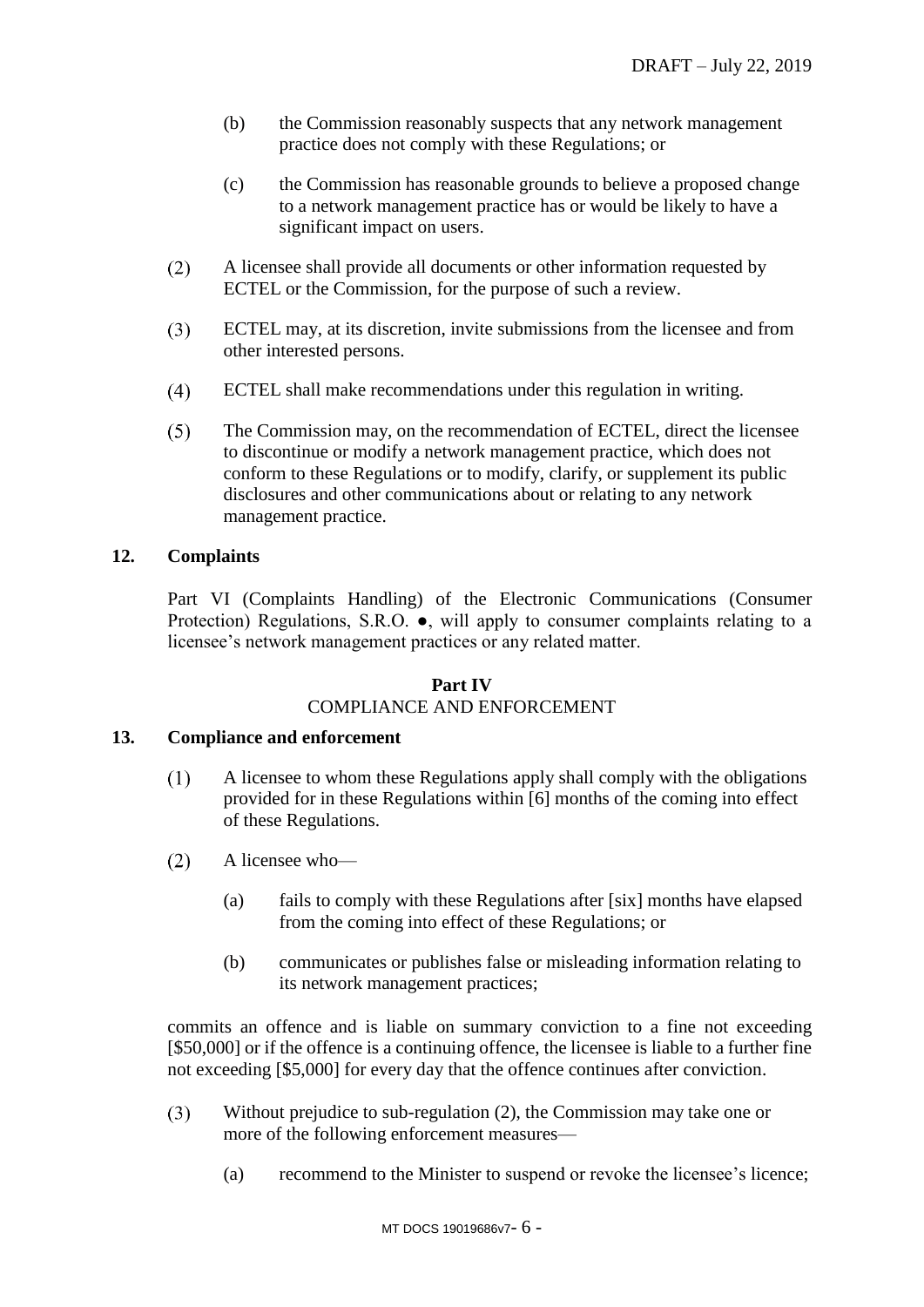- (b) the Commission reasonably suspects that any network management practice does not comply with these Regulations; or
- (c) the Commission has reasonable grounds to believe a proposed change to a network management practice has or would be likely to have a significant impact on users.
- $(2)$ A licensee shall provide all documents or other information requested by ECTEL or the Commission, for the purpose of such a review.
- ECTEL may, at its discretion, invite submissions from the licensee and from  $(3)$ other interested persons.
- $(4)$ ECTEL shall make recommendations under this regulation in writing.
- $(5)$ The Commission may, on the recommendation of ECTEL, direct the licensee to discontinue or modify a network management practice, which does not conform to these Regulations or to modify, clarify, or supplement its public disclosures and other communications about or relating to any network management practice.

### <span id="page-5-0"></span>**12. Complaints**

Part VI (Complaints Handling) of the Electronic Communications (Consumer Protection) Regulations, S.R.O. ●, will apply to consumer complaints relating to a licensee's network management practices or any related matter.

#### **Part IV**

# COMPLIANCE AND ENFORCEMENT

### <span id="page-5-1"></span>**13. Compliance and enforcement**

- $(1)$ A licensee to whom these Regulations apply shall comply with the obligations provided for in these Regulations within [6] months of the coming into effect of these Regulations.
- <span id="page-5-2"></span> $(2)$ A licensee who—
	- (a) fails to comply with these Regulations after [six] months have elapsed from the coming into effect of these Regulations; or
	- (b) communicates or publishes false or misleading information relating to its network management practices;

commits an offence and is liable on summary conviction to a fine not exceeding [\$50,000] or if the offence is a continuing offence, the licensee is liable to a further fine not exceeding [\$5,000] for every day that the offence continues after conviction.

- $(3)$ Without prejudice to sub-regulation [\(2\),](#page-5-2) the Commission may take one or more of the following enforcement measures—
	- (a) recommend to the Minister to suspend or revoke the licensee's licence;